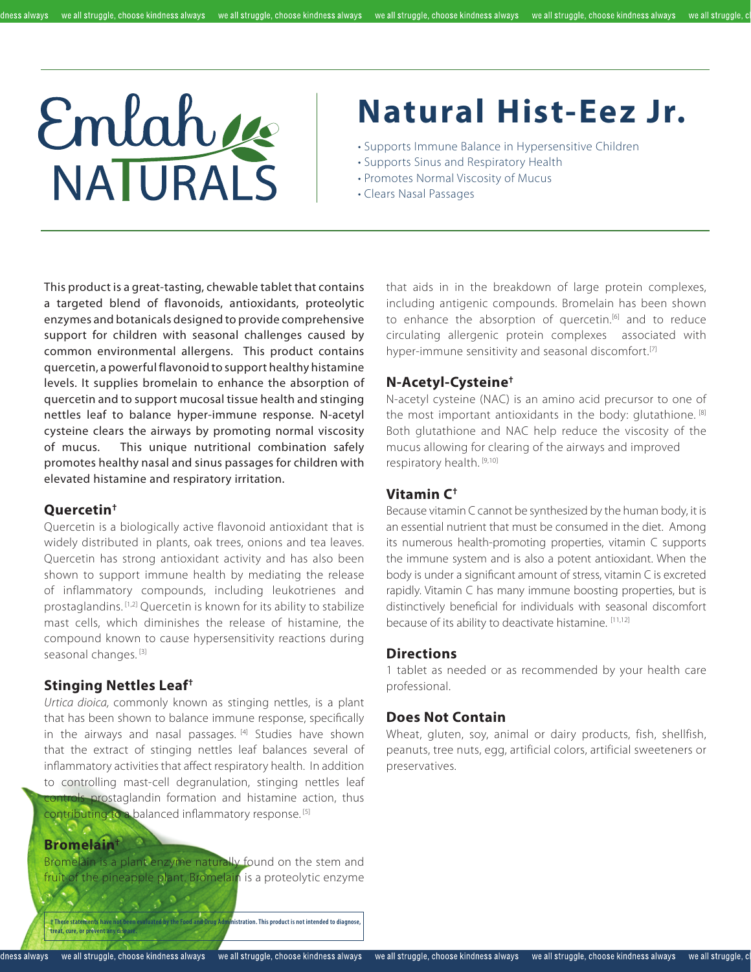#### dness always

# Emlahue

## **Natural Hist-Eez Jr.**

- Supports Immune Balance in Hypersensitive Children
- Supports Sinus and Respiratory Health
- Promotes Normal Viscosity of Mucus
- Clears Nasal Passages

This product is a great-tasting, chewable tablet that contains a targeted blend of flavonoids, antioxidants, proteolytic enzymes and botanicals designed to provide comprehensive support for children with seasonal challenges caused by common environmental allergens. This product contains quercetin, a powerful flavonoid to support healthy histamine levels. It supplies bromelain to enhance the absorption of quercetin and to support mucosal tissue health and stinging nettles leaf to balance hyper-immune response. N-acetyl cysteine clears the airways by promoting normal viscosity of mucus. This unique nutritional combination safely promotes healthy nasal and sinus passages for children with elevated histamine and respiratory irritation.

#### **Quercetin†**

Quercetin is a biologically active flavonoid antioxidant that is widely distributed in plants, oak trees, onions and tea leaves. Quercetin has strong antioxidant activity and has also been shown to support immune health by mediating the release of inflammatory compounds, including leukotrienes and prostaglandins. [1,2] Quercetin is known for its ability to stabilize mast cells, which diminishes the release of histamine, the compound known to cause hypersensitivity reactions during seasonal changes.<sup>[3]</sup>

#### **Stinging Nettles Leaf†**

*Urtica dioica,* commonly known as stinging nettles, is a plant that has been shown to balance immune response, specifically in the airways and nasal passages. [4] Studies have shown that the extract of stinging nettles leaf balances several of inflammatory activities that affect respiratory health. In addition to controlling mast-cell degranulation, stinging nettles leaf controls prostaglandin formation and histamine action, thus contributing to a balanced inflammatory response. [5]

#### **Bromelain†**

Bromelain is a plant enzyme naturally found on the stem and fruit of the pineapple plant. Bromelain is a proteolytic enzyme

**† These statements have not been evaluated by the Food and Drug Administration. This product is not intended to diagnose, treat, cure, or prevent any discrete** 

that aids in in the breakdown of large protein complexes, including antigenic compounds. Bromelain has been shown to enhance the absorption of quercetin.<sup>[6]</sup> and to reduce circulating allergenic protein complexes associated with hyper-immune sensitivity and seasonal discomfort.<sup>[7]</sup>

#### **N-Acetyl-Cysteine†**

N-acetyl cysteine (NAC) is an amino acid precursor to one of the most important antioxidants in the body: glutathione. [8] Both glutathione and NAC help reduce the viscosity of the mucus allowing for clearing of the airways and improved respiratory health. [9,10]

#### **Vitamin C†**

Because vitamin C cannot be synthesized by the human body, it is an essential nutrient that must be consumed in the diet. Among its numerous health-promoting properties, vitamin C supports the immune system and is also a potent antioxidant. When the body is under a significant amount of stress, vitamin C is excreted rapidly. Vitamin C has many immune boosting properties, but is distinctively beneficial for individuals with seasonal discomfort because of its ability to deactivate histamine. [11,12]

#### **Directions**

1 tablet as needed or as recommended by your health care professional.

#### **Does Not Contain**

Wheat, gluten, soy, animal or dairy products, fish, shellfish, peanuts, tree nuts, egg, artificial colors, artificial sweeteners or preservatives.